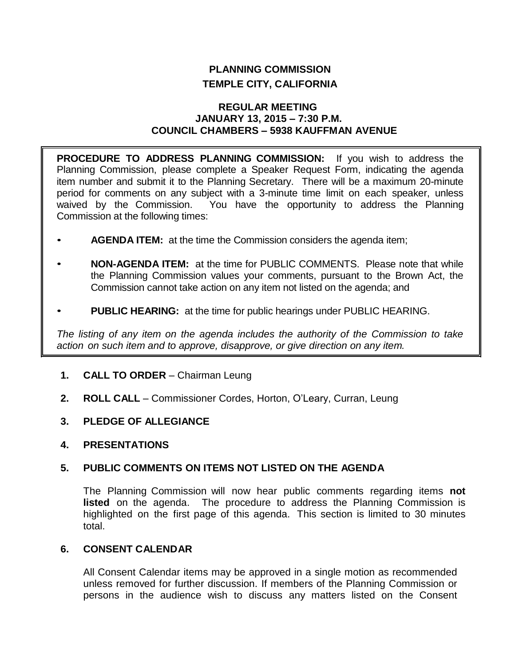# **PLANNING COMMISSION TEMPLE CITY, CALIFORNIA**

#### **REGULAR MEETING JANUARY 13, 2015 – 7:30 P.M. COUNCIL CHAMBERS – 5938 KAUFFMAN AVENUE**

**PROCEDURE TO ADDRESS PLANNING COMMISSION:** If you wish to address the Planning Commission, please complete a Speaker Request Form, indicating the agenda item number and submit it to the Planning Secretary. There will be a maximum 20-minute period for comments on any subject with a 3-minute time limit on each speaker, unless waived by the Commission. You have the opportunity to address the Planning Commission at the following times:

- **AGENDA ITEM:** at the time the Commission considers the agenda item;
- **NON-AGENDA ITEM:** at the time for PUBLIC COMMENTS. Please note that while the Planning Commission values your comments, pursuant to the Brown Act, the Commission cannot take action on any item not listed on the agenda; and
- **PUBLIC HEARING:** at the time for public hearings under PUBLIC HEARING.

*The listing of any item on the agenda includes the authority of the Commission to take action on such item and to approve, disapprove, or give direction on any item.*

- **1. CALL TO ORDER**  Chairman Leung
- **2. ROLL CALL**  Commissioner Cordes, Horton, O'Leary, Curran, Leung
- **3. PLEDGE OF ALLEGIANCE**
- **4. PRESENTATIONS**

### **5. PUBLIC COMMENTS ON ITEMS NOT LISTED ON THE AGENDA**

The Planning Commission will now hear public comments regarding items **not listed** on the agenda. The procedure to address the Planning Commission is highlighted on the first page of this agenda. This section is limited to 30 minutes total.

#### **6. CONSENT CALENDAR**

All Consent Calendar items may be approved in a single motion as recommended unless removed for further discussion. If members of the Planning Commission or persons in the audience wish to discuss any matters listed on the Consent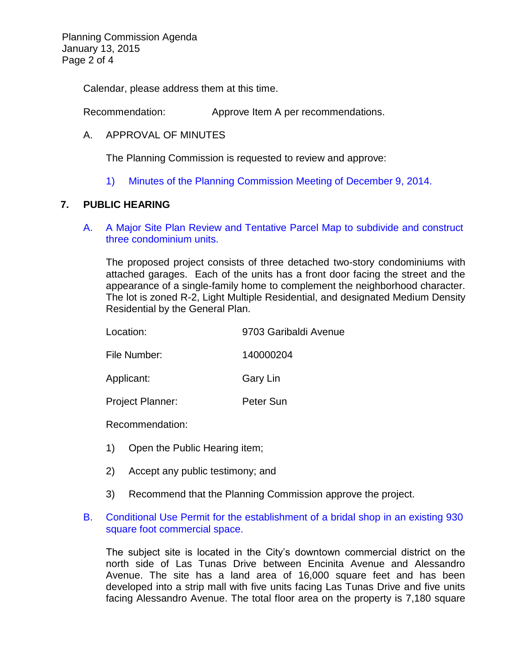Planning Commission Agenda January 13, 2015 Page 2 of 4

Calendar, please address them at this time.

Recommendation: Approve Item A per recommendations.

#### A. APPROVAL OF MINUTES

The Planning Commission is requested to review and approve:

1) Minutes of the [Planning Commission Meeting](http://ca-templecity.civicplus.com/DocumentCenter/View/2251) of December 9, 2014.

### **7. PUBLIC HEARING**

A. [A Major Site Plan Review and Tentative Parcel Map to subdivide and construct](http://ca-templecity.civicplus.com/DocumentCenter/View/2248)  [three condominium units.](http://ca-templecity.civicplus.com/DocumentCenter/View/2248)

The proposed project consists of three detached two-story condominiums with attached garages. Each of the units has a front door facing the street and the appearance of a single-family home to complement the neighborhood character. The lot is zoned R-2, Light Multiple Residential, and designated Medium Density Residential by the General Plan.

| Location:               | 9703 Garibaldi Avenue |  |
|-------------------------|-----------------------|--|
| File Number:            | 140000204             |  |
| Applicant:              | Gary Lin              |  |
| <b>Project Planner:</b> | Peter Sun             |  |
|                         |                       |  |

Recommendation:

- 1) Open the Public Hearing item;
- 2) Accept any public testimony; and
- 3) Recommend that the Planning Commission approve the project.

### B. [Conditional Use Permit for the establishment of a bridal shop in an existing 930](http://ca-templecity.civicplus.com/DocumentCenter/View/2249)  [square foot commercial space.](http://ca-templecity.civicplus.com/DocumentCenter/View/2249)

The subject site is located in the City's downtown commercial district on the north side of Las Tunas Drive between Encinita Avenue and Alessandro Avenue. The site has a land area of 16,000 square feet and has been developed into a strip mall with five units facing Las Tunas Drive and five units facing Alessandro Avenue. The total floor area on the property is 7,180 square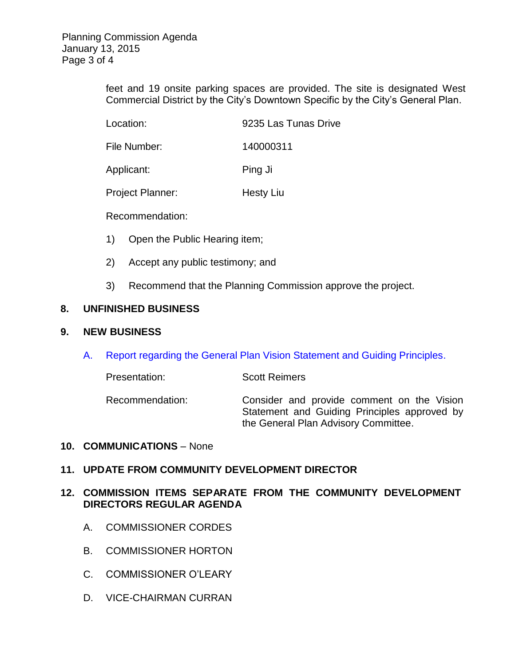feet and 19 onsite parking spaces are provided. The site is designated West Commercial District by the City's Downtown Specific by the City's General Plan.

| Location: | 9235 Las Tunas Drive |
|-----------|----------------------|
|           |                      |

File Number: 140000311

Applicant: Ping Ji

Project Planner: Hesty Liu

Recommendation:

- 1) Open the Public Hearing item;
- 2) Accept any public testimony; and
- 3) Recommend that the Planning Commission approve the project.

# **8. UNFINISHED BUSINESS**

## **9. NEW BUSINESS**

A. [Report regarding the General Plan Vision Statement and Guiding Principles.](http://ca-templecity.civicplus.com/DocumentCenter/View/2250) 

| Presentation:   | <b>Scott Reimers</b>                                                                                                               |
|-----------------|------------------------------------------------------------------------------------------------------------------------------------|
| Recommendation: | Consider and provide comment on the Vision<br>Statement and Guiding Principles approved by<br>the General Plan Advisory Committee. |

### **10. COMMUNICATIONS** – None

### **11. UPDATE FROM COMMUNITY DEVELOPMENT DIRECTOR**

### **12. COMMISSION ITEMS SEPARATE FROM THE COMMUNITY DEVELOPMENT DIRECTORS REGULAR AGENDA**

- A. COMMISSIONER CORDES
- B. COMMISSIONER HORTON
- C. COMMISSIONER O'LEARY
- D. VICE-CHAIRMAN CURRAN